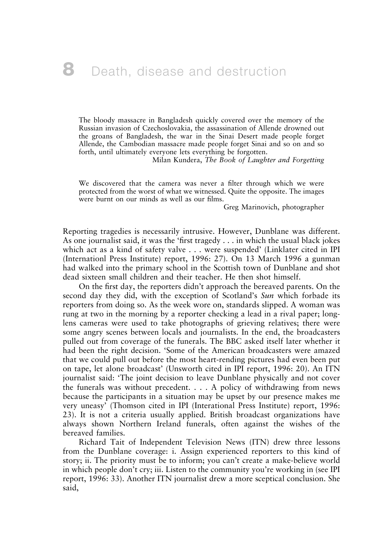The bloody massacre in Bangladesh quickly covered over the memory of the Russian invasion of Czechoslovakia, the assassination of Allende drowned out the groans of Bangladesh, the war in the Sinai Desert made people forget Allende, the Cambodian massacre made people forget Sinai and so on and so forth, until ultimately everyone lets everything be forgotten.

Milan Kundera, The Book of Laughter and Forgetting

We discovered that the camera was never a filter through which we were protected from the worst of what we witnessed. Quite the opposite. The images were burnt on our minds as well as our films.

Greg Marinovich, photographer

Reporting tragedies is necessarily intrusive. However, Dunblane was different. As one journalist said, it was the 'first tragedy  $\ldots$  in which the usual black jokes which act as a kind of safety valve . . . were suspended' (Linklater cited in IPI (Internationl Press Institute) report, 1996: 27). On 13 March 1996 a gunman had walked into the primary school in the Scottish town of Dunblane and shot dead sixteen small children and their teacher. He then shot himself.

On the first day, the reporters didn't approach the bereaved parents. On the second day they did, with the exception of Scotland's Sun which forbade its reporters from doing so. As the week wore on, standards slipped. A woman was rung at two in the morning by a reporter checking a lead in a rival paper; longlens cameras were used to take photographs of grieving relatives; there were some angry scenes between locals and journalists. In the end, the broadcasters pulled out from coverage of the funerals. The BBC asked itself later whether it had been the right decision. 'Some of the American broadcasters were amazed that we could pull out before the most heart-rending pictures had even been put on tape, let alone broadcast' (Unsworth cited in IPI report, 1996: 20). An ITN journalist said: `The joint decision to leave Dunblane physically and not cover the funerals was without precedent....A policy of withdrawing from news because the participants in a situation may be upset by our presence makes me very uneasy' (Thomson cited in IPI (Interational Press Institute) report, 1996: 23). It is not a criteria usually applied. British broadcast organizations have always shown Northern Ireland funerals, often against the wishes of the bereaved families.

Richard Tait of Independent Television News (ITN) drew three lessons from the Dunblane coverage: i. Assign experienced reporters to this kind of story; ii. The priority must be to inform; you can't create a make-believe world in which people don't cry; iii. Listen to the community you're working in (see IPI report, 1996: 33). Another ITN journalist drew a more sceptical conclusion. She said,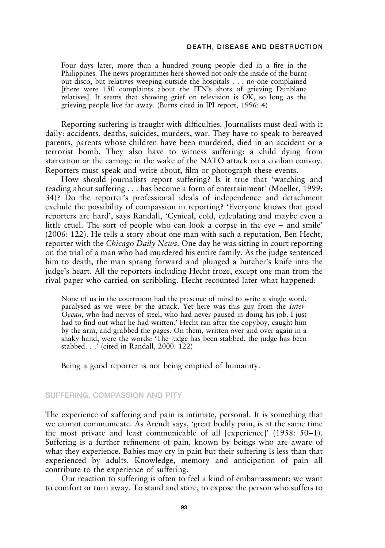Four days later, more than a hundred young people died in a fire in the Philippines. The news programmes here showed not only the inside of the burnt out disco, but relatives weeping outside the hospitals . . . no-one complained [there were 150 complaints about the ITN's shots of grieving Dunblane relatives]. It seems that showing grief on television is OK, so long as the grieving people live far away. (Burns cited in IPI report, 1996: 4)

Reporting suffering is fraught with difficulties. Journalists must deal with it daily: accidents, deaths, suicides, murders, war. They have to speak to bereaved parents, parents whose children have been murdered, died in an accident or a terrorist bomb. They also have to witness suffering: a child dying from starvation or the carnage in the wake of the NATO attack on a civilian convoy. Reporters must speak and write about, film or photograph these events.

How should journalists report suffering? Is it true that `watching and reading about suffering . . . has become a form of entertainment' (Moeller, 1999: 34)? Do the reporter's professional ideals of independence and detachment exclude the possibility of compassion in reporting? `Everyone knows that good reporters are hard', says Randall, 'Cynical, cold, calculating and maybe even a little cruel. The sort of people who can look a corpse in the eye  $-$  and smile' (2006: 122). He tells a story about one man with such a reputation, Ben Hecht, reporter with the Chicago Daily News. One day he was sitting in court reporting on the trial of a man who had murdered his entire family. As the judge sentenced him to death, the man sprang forward and plunged a butcher's knife into the judge's heart. All the reporters including Hecht froze, except one man from the rival paper who carried on scribbling. Hecht recounted later what happened:

None of us in the courtroom had the presence of mind to write a single word, paralysed as we were by the attack. Yet here was this guy from the Inter-Ocean, who had nerves of steel, who had never paused in doing his job. I just had to find out what he had written.' Hecht ran after the copyboy, caught him by the arm, and grabbed the pages. On them, written over and over again in a shaky hand, were the words: `The judge has been stabbed, the judge has been stabbed. . .' (cited in Randall, 2000: 122)

Being a good reporter is not being emptied of humanity.

# SUFFERING, COMPASSION AND PITY

The experience of suffering and pain is intimate, personal. It is something that we cannot communicate. As Arendt says, 'great bodily pain, is at the same time the most private and least communicable of all [experience]'  $(1958: 50-1)$ . Suffering is a further refinement of pain, known by beings who are aware of what they experience. Babies may cry in pain but their suffering is less than that experienced by adults. Knowledge, memory and anticipation of pain all contribute to the experience of suffering.

Our reaction to suffering is often to feel a kind of embarrassment: we want to comfort or turn away. To stand and stare, to expose the person who suffers to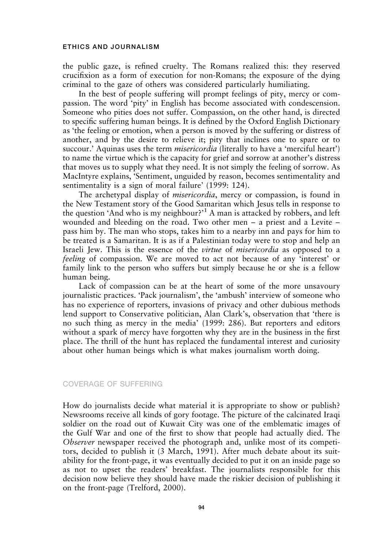the public gaze, is refined cruelty. The Romans realized this: they reserved crucifixion as a form of execution for non-Romans; the exposure of the dying criminal to the gaze of others was considered particularly humiliating.

In the best of people suffering will prompt feelings of pity, mercy or compassion. The word 'pity' in English has become associated with condescension. Someone who pities does not suffer. Compassion, on the other hand, is directed to specific suffering human beings. It is defined by the Oxford English Dictionary as `the feeling or emotion, when a person is moved by the suffering or distress of another, and by the desire to relieve it; pity that inclines one to spare or to succour.' Aquinas uses the term *misericordia* (literally to have a 'merciful heart') to name the virtue which is the capacity for grief and sorrow at another's distress that moves us to supply what they need. It is not simply the feeling of sorrow. As MacIntyre explains, 'Sentiment, unguided by reason, becomes sentimentality and sentimentality is a sign of moral failure' (1999: 124).

The archetypal display of *misericordia*, mercy or compassion, is found in the New Testament story of the Good Samaritan which Jesus tells in response to the question 'And who is my neighbour?'<sup>1</sup> A man is attacked by robbers, and left wounded and bleeding on the road. Two other men  $-$  a priest and a Levite  $$ pass him by. The man who stops, takes him to a nearby inn and pays for him to be treated is a Samaritan. It is as if a Palestinian today were to stop and help an Israeli Jew. This is the essence of the virtue of misericordia as opposed to a feeling of compassion. We are moved to act not because of any `interest' or family link to the person who suffers but simply because he or she is a fellow human being.

Lack of compassion can be at the heart of some of the more unsavoury journalistic practices. `Pack journalism', the `ambush' interview of someone who has no experience of reporters, invasions of privacy and other dubious methods lend support to Conservative politician, Alan Clark's, observation that 'there is no such thing as mercy in the media' (1999: 286). But reporters and editors without a spark of mercy have forgotten why they are in the business in the first place. The thrill of the hunt has replaced the fundamental interest and curiosity about other human beings which is what makes journalism worth doing.

## COVERAGE OF SUFFERING

How do journalists decide what material it is appropriate to show or publish? Newsrooms receive all kinds of gory footage. The picture of the calcinated Iraqi soldier on the road out of Kuwait City was one of the emblematic images of the Gulf War and one of the first to show that people had actually died. The Observer newspaper received the photograph and, unlike most of its competitors, decided to publish it (3 March, 1991). After much debate about its suitability for the front-page, it was eventually decided to put it on an inside page so as not to upset the readers' breakfast. The journalists responsible for this decision now believe they should have made the riskier decision of publishing it on the front-page (Trelford, 2000).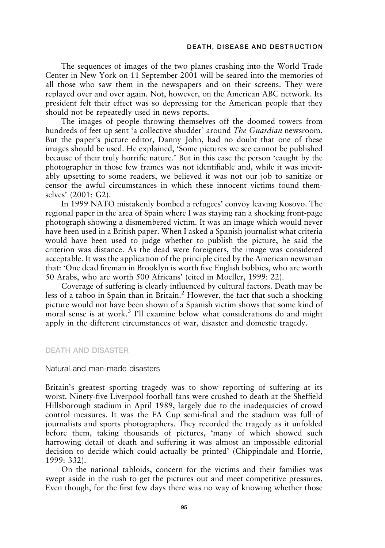The sequences of images of the two planes crashing into the World Trade Center in New York on 11 September 2001 will be seared into the memories of all those who saw them in the newspapers and on their screens. They were replayed over and over again. Not, however, on the American ABC network. Its president felt their effect was so depressing for the American people that they should not be repeatedly used in news reports.

The images of people throwing themselves off the doomed towers from hundreds of feet up sent 'a collective shudder' around The Guardian newsroom. But the paper's picture editor, Danny John, had no doubt that one of these images should be used. He explained, `Some pictures we see cannot be published because of their truly horrific nature.' But in this case the person 'caught by the photographer in those few frames was not identifiable and, while it was inevitably upsetting to some readers, we believed it was not our job to sanitize or censor the awful circumstances in which these innocent victims found themselves' (2001: G2).

In 1999 NATO mistakenly bombed a refugees' convoy leaving Kosovo. The regional paper in the area of Spain where I was staying ran a shocking front-page photograph showing a dismembered victim. It was an image which would never have been used in a British paper. When I asked a Spanish journalist what criteria would have been used to judge whether to publish the picture, he said the criterion was distance. As the dead were foreigners, the image was considered acceptable. It was the application of the principle cited by the American newsman that: 'One dead fireman in Brooklyn is worth five English bobbies, who are worth 50 Arabs, who are worth 500 Africans' (cited in Moeller, 1999: 22).

Coverage of suffering is clearly influenced by cultural factors. Death may be less of a taboo in Spain than in Britain.<sup>2</sup> However, the fact that such a shocking picture would not have been shown of a Spanish victim shows that some kind of moral sense is at work.<sup>3</sup> I'll examine below what considerations do and might apply in the different circumstances of war, disaster and domestic tragedy.

### DEATH AND DISASTER

## Natural and man-made disasters

Britain's greatest sporting tragedy was to show reporting of suffering at its worst. Ninety-five Liverpool football fans were crushed to death at the Sheffield Hillsborough stadium in April 1989, largely due to the inadequacies of crowd control measures. It was the FA Cup semi-final and the stadium was full of journalists and sports photographers. They recorded the tragedy as it unfolded before them, taking thousands of pictures, `many of which showed such harrowing detail of death and suffering it was almost an impossible editorial decision to decide which could actually be printed' (Chippindale and Horrie, 1999: 332).

On the national tabloids, concern for the victims and their families was swept aside in the rush to get the pictures out and meet competitive pressures. Even though, for the first few days there was no way of knowing whether those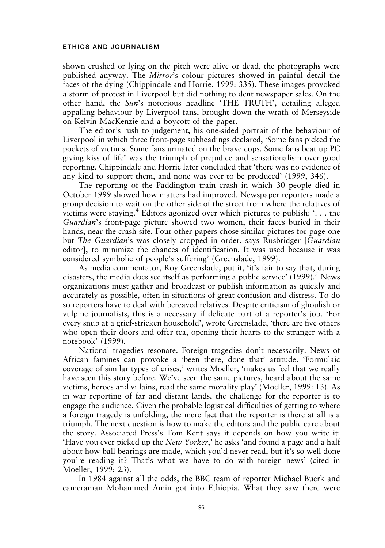shown crushed or lying on the pitch were alive or dead, the photographs were published anyway. The Mirror's colour pictures showed in painful detail the faces of the dying (Chippindale and Horrie, 1999: 335). These images provoked a storm of protest in Liverpool but did nothing to dent newspaper sales. On the other hand, the Sun's notorious headline `THE TRUTH', detailing alleged appalling behaviour by Liverpool fans, brought down the wrath of Merseyside on Kelvin MacKenzie and a boycott of the paper.

The editor's rush to judgement, his one-sided portrait of the behaviour of Liverpool in which three front-page subheadings declared, `Some fans picked the pockets of victims. Some fans urinated on the brave cops. Some fans beat up PC giving kiss of life' was the triumph of prejudice and sensationalism over good reporting. Chippindale and Horrie later concluded that `there was no evidence of any kind to support them, and none was ever to be produced' (1999, 346).

The reporting of the Paddington train crash in which 30 people died in October 1999 showed how matters had improved. Newspaper reporters made a group decision to wait on the other side of the street from where the relatives of victims were staying.<sup>4</sup> Editors agonized over which pictures to publish:  $\therefore$ ... the Guardian's front-page picture showed two women, their faces buried in their hands, near the crash site. Four other papers chose similar pictures for page one but *The Guardian's* was closely cropped in order, says Rusbridger [*Guardian*] editor], to minimize the chances of identification. It was used because it was considered symbolic of people's suffering' (Greenslade, 1999).

As media commentator, Roy Greenslade, put it, `it's fair to say that, during disasters, the media does see itself as performing a public service'  $(1999)$ .<sup>5</sup> News organizations must gather and broadcast or publish information as quickly and accurately as possible, often in situations of great confusion and distress. To do so reporters have to deal with bereaved relatives. Despite criticism of ghoulish or vulpine journalists, this is a necessary if delicate part of a reporter's job. `For every snub at a grief-stricken household', wrote Greenslade, 'there are five others who open their doors and offer tea, opening their hearts to the stranger with a notebook' (1999).

National tragedies resonate. Foreign tragedies don't necessarily. News of African famines can provoke a `been there, done that' attitude. `Formulaic coverage of similar types of crises,' writes Moeller, `makes us feel that we really have seen this story before. We've seen the same pictures, heard about the same victims, heroes and villains, read the same morality play' (Moeller, 1999: 13). As in war reporting of far and distant lands, the challenge for the reporter is to engage the audience. Given the probable logistical difficulties of getting to where a foreign tragedy is unfolding, the mere fact that the reporter is there at all is a triumph. The next question is how to make the editors and the public care about the story. Associated Press's Tom Kent says it depends on how you write it: 'Have you ever picked up the New Yorker,' he asks 'and found a page and a half about how ball bearings are made, which you'd never read, but it's so well done you're reading it? That's what we have to do with foreign news' (cited in Moeller, 1999: 23).

In 1984 against all the odds, the BBC team of reporter Michael Buerk and cameraman Mohammed Amin got into Ethiopia. What they saw there were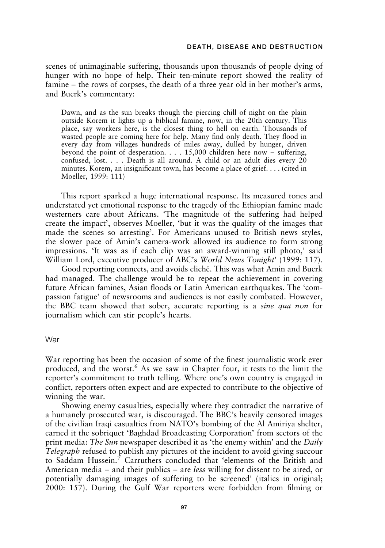scenes of unimaginable suffering, thousands upon thousands of people dying of hunger with no hope of help. Their ten-minute report showed the reality of famine – the rows of corpses, the death of a three year old in her mother's arms, and Buerk's commentary:

Dawn, and as the sun breaks though the piercing chill of night on the plain outside Korem it lights up a biblical famine, now, in the 20th century. This place, say workers here, is the closest thing to hell on earth. Thousands of wasted people are coming here for help. Many find only death. They flood in every day from villages hundreds of miles away, dulled by hunger, driven beyond the point of desperation.  $\ldots$  15,000 children here now – suffering, confused, lost. . . . Death is all around. A child or an adult dies every 20 minutes. Korem, an insignificant town, has become a place of grief. . . . (cited in Moeller, 1999: 111)

This report sparked a huge international response. Its measured tones and understated yet emotional response to the tragedy of the Ethiopian famine made westerners care about Africans. The magnitude of the suffering had helped create the impact', observes Moeller, `but it was the quality of the images that made the scenes so arresting'. For Americans unused to British news styles, the slower pace of Amin's camera-work allowed its audience to form strong impressions. `It was as if each clip was an award-winning still photo,' said William Lord, executive producer of ABC's World News Tonight' (1999: 117).

Good reporting connects, and avoids cliché. This was what Amin and Buerk had managed. The challenge would be to repeat the achievement in covering future African famines, Asian floods or Latin American earthquakes. The 'compassion fatigue' of newsrooms and audiences is not easily combated. However, the BBC team showed that sober, accurate reporting is a sine qua non for journalism which can stir people's hearts.

# **War**

War reporting has been the occasion of some of the finest journalistic work ever produced, and the worst.<sup>6</sup> As we saw in Chapter four, it tests to the limit the reporter's commitment to truth telling. Where one's own country is engaged in conflict, reporters often expect and are expected to contribute to the objective of winning the war.

Showing enemy casualties, especially where they contradict the narrative of a humanely prosecuted war, is discouraged. The BBC's heavily censored images of the civilian Iraqi casualties from NATO's bombing of the Al Amiriya shelter, earned it the sobriquet `Baghdad Broadcasting Corporation' from sectors of the print media: The Sun newspaper described it as 'the enemy within' and the Daily Telegraph refused to publish any pictures of the incident to avoid giving succour to Saddam Hussein.<sup>7</sup> Carruthers concluded that 'elements of the British and American media  $-\alpha$  and their publics  $-\alpha$  are less willing for dissent to be aired, or potentially damaging images of suffering to be screened' (italics in original;  $2000: 157$ . During the Gulf War reporters were forbidden from filming or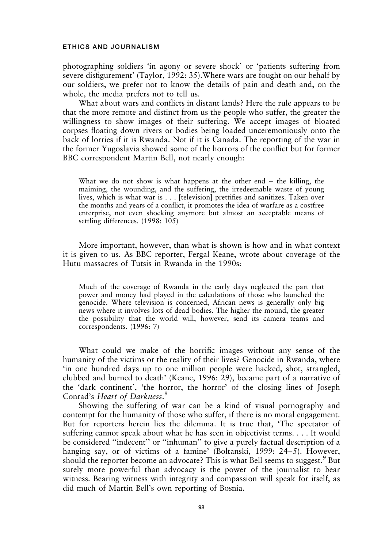photographing soldiers `in agony or severe shock' or `patients suffering from severe disfigurement' (Taylor, 1992:  $35$ ). Where wars are fought on our behalf by our soldiers, we prefer not to know the details of pain and death and, on the whole, the media prefers not to tell us.

What about wars and conflicts in distant lands? Here the rule appears to be that the more remote and distinct from us the people who suffer, the greater the willingness to show images of their suffering. We accept images of bloated corpses floating down rivers or bodies being loaded unceremoniously onto the back of lorries if it is Rwanda. Not if it is Canada. The reporting of the war in the former Yugoslavia showed some of the horrors of the conflict but for former BBC correspondent Martin Bell, not nearly enough:

What we do not show is what happens at the other end  $-$  the killing, the maiming, the wounding, and the suffering, the irredeemable waste of young lives, which is what war is . . . [television] prettifies and sanitizes. Taken over the months and years of a conflict, it promotes the idea of warfare as a costfree enterprise, not even shocking anymore but almost an acceptable means of settling differences. (1998: 105)

More important, however, than what is shown is how and in what context it is given to us. As BBC reporter, Fergal Keane, wrote about coverage of the Hutu massacres of Tutsis in Rwanda in the 1990s:

Much of the coverage of Rwanda in the early days neglected the part that power and money had played in the calculations of those who launched the genocide. Where television is concerned, African news is generally only big news where it involves lots of dead bodies. The higher the mound, the greater the possibility that the world will, however, send its camera teams and correspondents. (1996: 7)

What could we make of the horrific images without any sense of the humanity of the victims or the reality of their lives? Genocide in Rwanda, where `in one hundred days up to one million people were hacked, shot, strangled, clubbed and burned to death' (Keane, 1996: 29), became part of a narrative of the `dark continent', `the horror, the horror' of the closing lines of Joseph Conrad's Heart of Darkness.<sup>8</sup>

Showing the suffering of war can be a kind of visual pornography and contempt for the humanity of those who suffer, if there is no moral engagement. But for reporters herein lies the dilemma. It is true that, 'The spectator of suffering cannot speak about what he has seen in objectivist terms. . . . It would be considered "indecent" or "inhuman" to give a purely factual description of a hanging say, or of victims of a famine' (Boltanski,  $1999: 24-5$ ). However, should the reporter become an advocate? This is what Bell seems to suggest.<sup>9</sup> But surely more powerful than advocacy is the power of the journalist to bear witness. Bearing witness with integrity and compassion will speak for itself, as did much of Martin Bell's own reporting of Bosnia.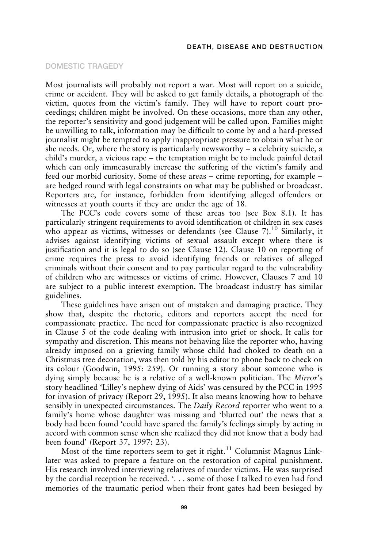# DOMESTIC TRAGEDY

Most journalists will probably not report a war. Most will report on a suicide, crime or accident. They will be asked to get family details, a photograph of the victim, quotes from the victim's family. They will have to report court proceedings; children might be involved. On these occasions, more than any other, the reporter's sensitivity and good judgement will be called upon. Families might be unwilling to talk, information may be difficult to come by and a hard-pressed journalist might be tempted to apply inappropriate pressure to obtain what he or she needs. Or, where the story is particularly newsworthy  $-$  a celebrity suicide, a child's murder, a vicious rape  $-\theta$  the temptation might be to include painful detail which can only immeasurably increase the suffering of the victim's family and feed our morbid curiosity. Some of these areas  $-$  crime reporting, for example  $$ are hedged round with legal constraints on what may be published or broadcast. Reporters are, for instance, forbidden from identifying alleged offenders or witnesses at youth courts if they are under the age of 18.

The PCC's code covers some of these areas too (see Box 8.1). It has particularly stringent requirements to avoid identification of children in sex cases who appear as victims, witnesses or defendants (see Clause  $7$ ).<sup>10</sup> Similarly, it advises against identifying victims of sexual assault except where there is justification and it is legal to do so (see Clause 12). Clause 10 on reporting of crime requires the press to avoid identifying friends or relatives of alleged criminals without their consent and to pay particular regard to the vulnerability of children who are witnesses or victims of crime. However, Clauses 7 and 10 are subject to a public interest exemption. The broadcast industry has similar guidelines.

These guidelines have arisen out of mistaken and damaging practice. They show that, despite the rhetoric, editors and reporters accept the need for compassionate practice. The need for compassionate practice is also recognized in Clause 5 of the code dealing with intrusion into grief or shock. It calls for sympathy and discretion. This means not behaving like the reporter who, having already imposed on a grieving family whose child had choked to death on a Christmas tree decoration, was then told by his editor to phone back to check on its colour (Goodwin, 1995: 259). Or running a story about someone who is dying simply because he is a relative of a well-known politician. The Mirror's story headlined `Lilley's nephew dying of Aids' was censured by the PCC in 1995 for invasion of privacy (Report 29, 1995). It also means knowing how to behave sensibly in unexpected circumstances. The *Daily Record* reporter who went to a family's home whose daughter was missing and 'blurted out' the news that a body had been found `could have spared the family's feelings simply by acting in accord with common sense when she realized they did not know that a body had been found' (Report 37, 1997: 23).

Most of the time reporters seem to get it right.<sup>11</sup> Columnist Magnus Linklater was asked to prepare a feature on the restoration of capital punishment. His research involved interviewing relatives of murder victims. He was surprised by the cordial reception he received. `. . . some of those I talked to even had fond memories of the traumatic period when their front gates had been besieged by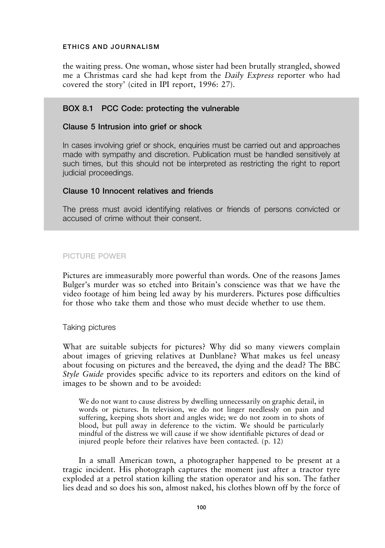the waiting press. One woman, whose sister had been brutally strangled, showed me a Christmas card she had kept from the *Daily Express* reporter who had covered the story' (cited in IPI report, 1996: 27).

# BOX 8.1 PCC Code: protecting the vulnerable

# Clause 5 Intrusion into grief or shock

In cases involving grief or shock, enquiries must be carried out and approaches made with sympathy and discretion. Publication must be handled sensitively at such times, but this should not be interpreted as restricting the right to report judicial proceedings.

# Clause 10 Innocent relatives and friends

The press must avoid identifying relatives or friends of persons convicted or accused of crime without their consent.

# PICTURE POWER

Pictures are immeasurably more powerful than words. One of the reasons James Bulger's murder was so etched into Britain's conscience was that we have the video footage of him being led away by his murderers. Pictures pose difficulties for those who take them and those who must decide whether to use them.

Taking pictures

What are suitable subjects for pictures? Why did so many viewers complain about images of grieving relatives at Dunblane? What makes us feel uneasy about focusing on pictures and the bereaved, the dying and the dead? The BBC Style Guide provides specific advice to its reporters and editors on the kind of images to be shown and to be avoided:

We do not want to cause distress by dwelling unnecessarily on graphic detail, in words or pictures. In television, we do not linger needlessly on pain and suffering, keeping shots short and angles wide; we do not zoom in to shots of blood, but pull away in deference to the victim. We should be particularly mindful of the distress we will cause if we show identifiable pictures of dead or injured people before their relatives have been contacted. (p. 12)

In a small American town, a photographer happened to be present at a tragic incident. His photograph captures the moment just after a tractor tyre exploded at a petrol station killing the station operator and his son. The father lies dead and so does his son, almost naked, his clothes blown off by the force of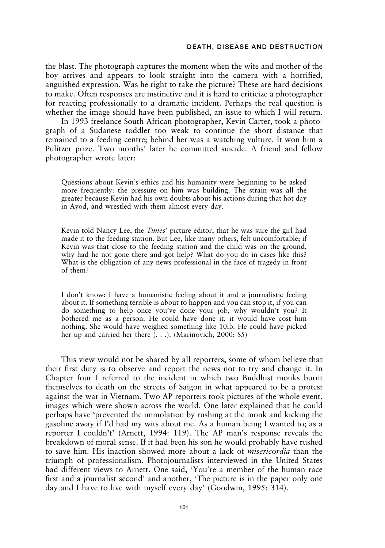the blast. The photograph captures the moment when the wife and mother of the boy arrives and appears to look straight into the camera with a horrified, anguished expression. Was he right to take the picture? These are hard decisions to make. Often responses are instinctive and it is hard to criticize a photographer for reacting professionally to a dramatic incident. Perhaps the real question is whether the image should have been published, an issue to which I will return.

In 1993 freelance South African photographer, Kevin Carter, took a photograph of a Sudanese toddler too weak to continue the short distance that remained to a feeding centre; behind her was a watching vulture. It won him a Pulitzer prize. Two months' later he committed suicide. A friend and fellow photographer wrote later:

Questions about Kevin's ethics and his humanity were beginning to be asked more frequently: the pressure on him was building. The strain was all the greater because Kevin had his own doubts about his actions during that hot day in Ayod, and wrestled with them almost every day.

Kevin told Nancy Lee, the Times' picture editor, that he was sure the girl had made it to the feeding station. But Lee, like many others, felt uncomfortable; if Kevin was that close to the feeding station and the child was on the ground, why had he not gone there and got help? What do you do in cases like this? What is the obligation of any news professional in the face of tragedy in front of them?

I don't know: I have a humanistic feeling about it and a journalistic feeling about it. If something terrible is about to happen and you can stop it, if you can do something to help once you've done your job, why wouldn't you? It bothered me as a person. He could have done it, it would have cost him nothing. She would have weighed something like 10lb. He could have picked her up and carried her there  $($ ... $)$ . (Marinovich, 2000: S5)

This view would not be shared by all reporters, some of whom believe that their first duty is to observe and report the news not to try and change it. In Chapter four I referred to the incident in which two Buddhist monks burnt themselves to death on the streets of Saigon in what appeared to be a protest against the war in Vietnam. Two AP reporters took pictures of the whole event, images which were shown across the world. One later explained that he could perhaps have `prevented the immolation by rushing at the monk and kicking the gasoline away if I'd had my wits about me. As a human being I wanted to; as a reporter I couldn't' (Arnett, 1994: 119). The AP man's response reveals the breakdown of moral sense. If it had been his son he would probably have rushed to save him. His inaction showed more about a lack of misericordia than the triumph of professionalism. Photojournalists interviewed in the United States had different views to Arnett. One said, 'You're a member of the human race first and a journalist second' and another, 'The picture is in the paper only one day and I have to live with myself every day' (Goodwin, 1995: 314).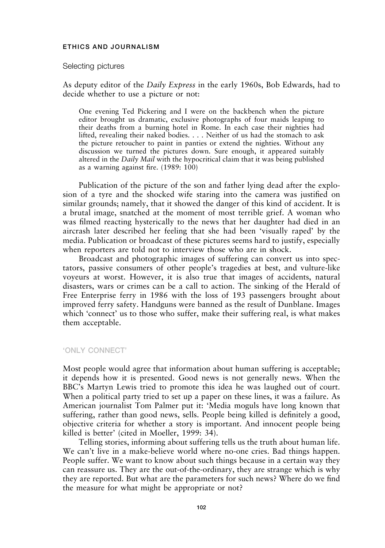## Selecting pictures

As deputy editor of the Daily Express in the early 1960s, Bob Edwards, had to decide whether to use a picture or not:

One evening Ted Pickering and I were on the backbench when the picture editor brought us dramatic, exclusive photographs of four maids leaping to their deaths from a burning hotel in Rome. In each case their nighties had lifted, revealing their naked bodies.... Neither of us had the stomach to ask the picture retoucher to paint in panties or extend the nighties. Without any discussion we turned the pictures down. Sure enough, it appeared suitably altered in the Daily Mail with the hypocritical claim that it was being published as a warning against fire.  $(1989: 100)$ 

Publication of the picture of the son and father lying dead after the explosion of a tyre and the shocked wife staring into the camera was justified on similar grounds; namely, that it showed the danger of this kind of accident. It is a brutal image, snatched at the moment of most terrible grief. A woman who was filmed reacting hysterically to the news that her daughter had died in an aircrash later described her feeling that she had been `visually raped' by the media. Publication or broadcast of these pictures seems hard to justify, especially when reporters are told not to interview those who are in shock.

Broadcast and photographic images of suffering can convert us into spectators, passive consumers of other people's tragedies at best, and vulture-like voyeurs at worst. However, it is also true that images of accidents, natural disasters, wars or crimes can be a call to action. The sinking of the Herald of Free Enterprise ferry in 1986 with the loss of 193 passengers brought about improved ferry safety. Handguns were banned as the result of Dunblane. Images which 'connect' us to those who suffer, make their suffering real, is what makes them acceptable.

# `ONLY CONNECT'

Most people would agree that information about human suffering is acceptable; it depends how it is presented. Good news is not generally news. When the BBC's Martyn Lewis tried to promote this idea he was laughed out of court. When a political party tried to set up a paper on these lines, it was a failure. As American journalist Tom Palmer put it: `Media moguls have long known that suffering, rather than good news, sells. People being killed is definitely a good, objective criteria for whether a story is important. And innocent people being killed is better' (cited in Moeller, 1999: 34).

Telling stories, informing about suffering tells us the truth about human life. We can't live in a make-believe world where no-one cries. Bad things happen. People suffer. We want to know about such things because in a certain way they can reassure us. They are the out-of-the-ordinary, they are strange which is why they are reported. But what are the parameters for such news? Where do we find the measure for what might be appropriate or not?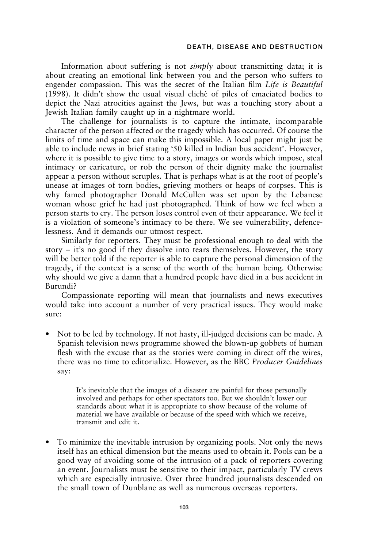Information about suffering is not *simply* about transmitting data; it is about creating an emotional link between you and the person who suffers to engender compassion. This was the secret of the Italian film Life is Beautiful  $(1998)$ . It didn't show the usual visual cliché of piles of emaciated bodies to depict the Nazi atrocities against the Jews, but was a touching story about a Jewish Italian family caught up in a nightmare world.

The challenge for journalists is to capture the intimate, incomparable character of the person affected or the tragedy which has occurred. Of course the limits of time and space can make this impossible. A local paper might just be able to include news in brief stating `50 killed in Indian bus accident'. However, where it is possible to give time to a story, images or words which impose, steal intimacy or caricature, or rob the person of their dignity make the journalist appear a person without scruples. That is perhaps what is at the root of people's unease at images of torn bodies, grieving mothers or heaps of corpses. This is why famed photographer Donald McCullen was set upon by the Lebanese woman whose grief he had just photographed. Think of how we feel when a person starts to cry. The person loses control even of their appearance. We feel it is a violation of someone's intimacy to be there. We see vulnerability, defencelessness. And it demands our utmost respect.

Similarly for reporters. They must be professional enough to deal with the story  $-$  it's no good if they dissolve into tears themselves. However, the story will be better told if the reporter is able to capture the personal dimension of the tragedy, if the context is a sense of the worth of the human being. Otherwise why should we give a damn that a hundred people have died in a bus accident in Burundi?

Compassionate reporting will mean that journalists and news executives would take into account a number of very practical issues. They would make sure:

• Not to be led by technology. If not hasty, ill-judged decisions can be made. A Spanish television news programme showed the blown-up gobbets of human flesh with the excuse that as the stories were coming in direct off the wires, there was no time to editorialize. However, as the BBC Producer Guidelines say:

> It's inevitable that the images of a disaster are painful for those personally involved and perhaps for other spectators too. But we shouldn't lower our standards about what it is appropriate to show because of the volume of material we have available or because of the speed with which we receive, transmit and edit it.

· To minimize the inevitable intrusion by organizing pools. Not only the news itself has an ethical dimension but the means used to obtain it. Pools can be a good way of avoiding some of the intrusion of a pack of reporters covering an event. Journalists must be sensitive to their impact, particularly TV crews which are especially intrusive. Over three hundred journalists descended on the small town of Dunblane as well as numerous overseas reporters.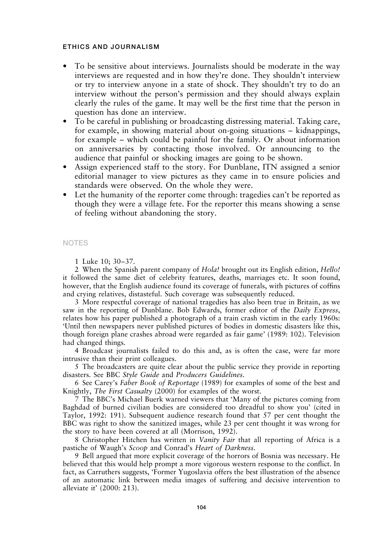- · To be sensitive about interviews. Journalists should be moderate in the way interviews are requested and in how they're done. They shouldn't interview or try to interview anyone in a state of shock. They shouldn't try to do an interview without the person's permission and they should always explain clearly the rules of the game. It may well be the first time that the person in question has done an interview.
- · To be careful in publishing or broadcasting distressing material. Taking care, for example, in showing material about on-going situations  $-$  kidnappings, for example – which could be painful for the family. Or about information on anniversaries by contacting those involved. Or announcing to the audience that painful or shocking images are going to be shown.
- · Assign experienced staff to the story. For Dunblane, ITN assigned a senior editorial manager to view pictures as they came in to ensure policies and standards were observed. On the whole they were.
- · Let the humanity of the reporter come through: tragedies can't be reported as though they were a village fete. For the reporter this means showing a sense of feeling without abandoning the story.

## **NOTES**

1 Luke 10; 30-37.

2 When the Spanish parent company of Hola! brought out its English edition, Hello! it followed the same diet of celebrity features, deaths, marriages etc. It soon found, however, that the English audience found its coverage of funerals, with pictures of coffins and crying relatives, distasteful. Such coverage was subsequently reduced.

3 More respectful coverage of national tragedies has also been true in Britain, as we saw in the reporting of Dunblane. Bob Edwards, former editor of the Daily Express, relates how his paper published a photograph of a train crash victim in the early 1960s: `Until then newspapers never published pictures of bodies in domestic disasters like this, though foreign plane crashes abroad were regarded as fair game' (1989: 102). Television had changed things.

4 Broadcast journalists failed to do this and, as is often the case, were far more intrusive than their print colleagues.

5 The broadcasters are quite clear about the public service they provide in reporting disasters. See BBC Style Guide and Producers Guidelines.

6 See Carey's Faber Book of Reportage (1989) for examples of some of the best and Knightly, The First Casualty (2000) for examples of the worst.

7 The BBC's Michael Buerk warned viewers that `Many of the pictures coming from Baghdad of burned civilian bodies are considered too dreadful to show you' (cited in Taylor, 1992: 191). Subsequent audience research found that 57 per cent thought the BBC was right to show the sanitized images, while 23 per cent thought it was wrong for the story to have been covered at all (Morrison, 1992).

8 Christopher Hitchen has written in Vanity Fair that all reporting of Africa is a pastiche of Waugh's Scoop and Conrad's Heart of Darkness.

9 Bell argued that more explicit coverage of the horrors of Bosnia was necessary. He believed that this would help prompt a more vigorous western response to the conflict. In fact, as Carruthers suggests, `Former Yugoslavia offers the best illustration of the absence of an automatic link between media images of suffering and decisive intervention to alleviate it' (2000: 213).